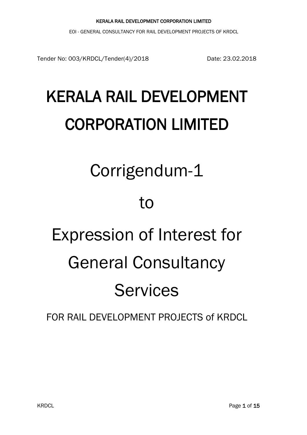EOI - GENERAL CONSULTANCY FOR RAIL DEVELOPMENT PROJECTS OF KRDCL

Tender No: 003/KRDCL/Tender(4)/2018 Date: 23.02.2018

# KERALA RAIL DEVELOPMENT CORPORATION LIMITED

## Corrigendum-1

## to

# Expression of Interest for General Consultancy Services

## FOR RAIL DEVELOPMENT PROJECTS of KRDCL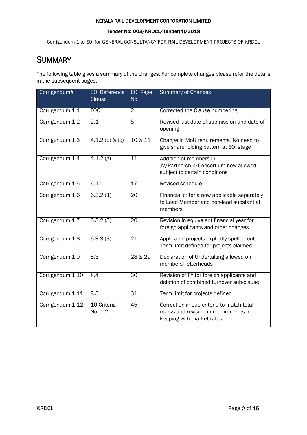#### Tender No: 003/KRDCL/Tender(4)/2018

Corrigendum-1 to EOI for GENERAL CONSULTANCY FOR RAIL DEVELOPMENT PROJECTS OF KRDCL

### **SUMMARY**

The following table gives a summary of the changes. For complete changes please refer the details in the subsequent pages.

| Corrigendum#     | <b>EOI Reference</b><br>Clause | <b>EOI Page</b><br>No. | <b>Summary of Changes</b>                                                                                       |
|------------------|--------------------------------|------------------------|-----------------------------------------------------------------------------------------------------------------|
| Corrigendum 1.1  | <b>TOC</b>                     | $\overline{2}$         | Corrected the Clause numbering                                                                                  |
| Corrigendum 1.2  | 2.1                            | $\overline{5}$         | Revised last date of submission and date of<br>opening                                                          |
| Corrigendum 1.3  | 4.1.2 (b) & (c)                | 10 & 11                | Change in MoU requirements. No need to<br>give shareholding pattern at EOI stage                                |
| Corrigendum 1.4  | 4.1.2(g)                       | 11                     | Addition of members in<br>JV/Partnership/Consortium now allowed<br>subject to certain conditions                |
| Corrigendum 1.5  | 6.1.1                          | 17                     | Revised schedule                                                                                                |
| Corrigendum 1.6  | 6.3.2(1)                       | $\overline{20}$        | Financial criteria now applicable separately<br>to Lead Member and non-lead substantial<br>members              |
| Corrigendum 1.7  | 6.3.2(3)                       | $\overline{20}$        | Revision in equivalent financial year for<br>foreign applicants and other changes                               |
| Corrigendum 1.8  | 6.3.3(3)                       | $\overline{21}$        | Applicable projects explicitly spelled out.<br>Term limit defined for projects claimed.                         |
| Corrigendum 1.9  | 8.3                            | 28 & 29                | Declaration of Undertaking allowed on<br>members' letterheads                                                   |
| Corrigendum 1.10 | 8.4                            | 30                     | Revision of FY for foreign applicants and<br>deletion of combined turnover sub-clause                           |
| Corrigendum 1.11 | 8.5                            | $\overline{31}$        | Term limit for projects defined                                                                                 |
| Corrigendum 1.12 | 10 Criteria<br>No. 1.2         | 45                     | Correction in sub-criteria to match total<br>marks and revision in requirements in<br>keeping with market rates |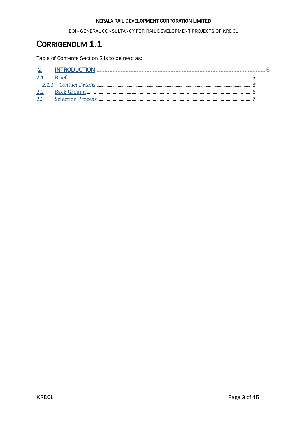EOI - GENERAL CONSULTANCY FOR RAIL DEVELOPMENT PROJECTS OF KRDCL

## <span id="page-2-0"></span>CORRIGENDUM 1.1

Table of Contents Section 2 is to be read as:

| 2.1 |  |
|-----|--|
|     |  |
| 2.2 |  |
| 2.3 |  |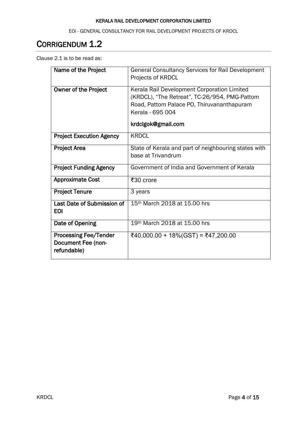EOI - GENERAL CONSULTANCY FOR RAIL DEVELOPMENT PROJECTS OF KRDCL

## <span id="page-3-0"></span>CORRIGENDUM 1.2

Clause 2.1 is to be read as:

| Name of the Project                                                      | <b>General Consultancy Services for Rail Development</b><br>Projects of KRDCL                                                                                                        |
|--------------------------------------------------------------------------|--------------------------------------------------------------------------------------------------------------------------------------------------------------------------------------|
| <b>Owner of the Project</b>                                              | Kerala Rail Development Corporation Limited<br>(KRDCL), "The Retreat", TC-26/954, PMG-Pattom<br>Road, Pattom Palace PO, Thiruvananthapuram<br>Kerala - 695 004<br>krdclgok@gmail.com |
| <b>Project Execution Agency</b>                                          | <b>KRDCL</b>                                                                                                                                                                         |
| <b>Project Area</b>                                                      | State of Kerala and part of neighbouring states with<br>base at Trivandrum                                                                                                           |
| <b>Project Funding Agency</b>                                            | Government of India and Government of Kerala                                                                                                                                         |
| <b>Approximate Cost</b>                                                  | ₹30 crore                                                                                                                                                                            |
| <b>Project Tenure</b>                                                    | 3 years                                                                                                                                                                              |
| Last Date of Submission of<br><b>EOI</b>                                 | 15 <sup>th</sup> March 2018 at 15.00 hrs                                                                                                                                             |
| Date of Opening                                                          | 19th March 2018 at 15.00 hrs                                                                                                                                                         |
| <b>Processing Fee/Tender</b><br><b>Document Fee (non-</b><br>refundable) | ₹40,000.00 + 18%(GST) = ₹47,200.00                                                                                                                                                   |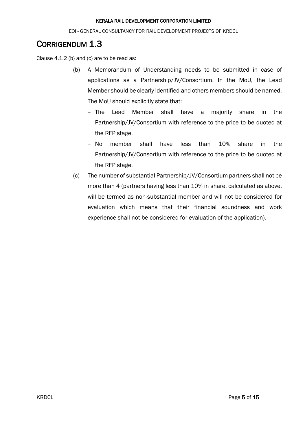EOI - GENERAL CONSULTANCY FOR RAIL DEVELOPMENT PROJECTS OF KRDCL

## <span id="page-4-0"></span>CORRIGENDUM 1.3

Clause 4.1.2 (b) and (c) are to be read as:

- (b) A Memorandum of Understanding needs to be submitted in case of applications as a Partnership/JV/Consortium. In the MoU, the Lead Member should be clearly identified and others members should be named. The MoU should explicitly state that:
	- − The Lead Member shall have a majority share in the Partnership/JV/Consortium with reference to the price to be quoted at the RFP stage.
	- − No member shall have less than 10% share in the Partnership/JV/Consortium with reference to the price to be quoted at the RFP stage.
- (c) The number of substantial Partnership/JV/Consortium partners shall not be more than 4 (partners having less than 10% in share, calculated as above, will be termed as non-substantial member and will not be considered for evaluation which means that their financial soundness and work experience shall not be considered for evaluation of the application).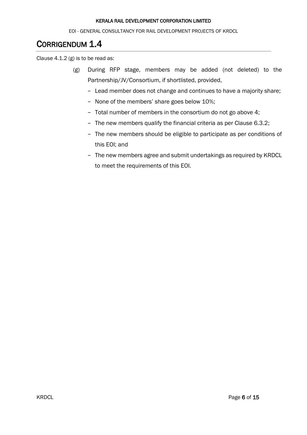EOI - GENERAL CONSULTANCY FOR RAIL DEVELOPMENT PROJECTS OF KRDCL

## <span id="page-5-0"></span>CORRIGENDUM 1.4

Clause 4.1.2 (g) is to be read as:

- (g) During RFP stage, members may be added (not deleted) to the Partnership/JV/Consortium, if shortlisted, provided,
	- − Lead member does not change and continues to have a majority share;
	- − None of the members' share goes below 10%;
	- − Total number of members in the consortium do not go above 4;
	- − The new members qualify the financial criteria as per Clause 6.3.2;
	- − The new members should be eligible to participate as per conditions of this EOI; and
	- − The new members agree and submit undertakings as required by KRDCL to meet the requirements of this EOI.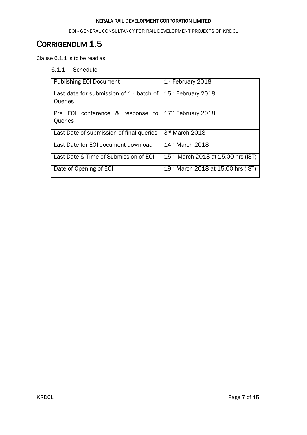EOI - GENERAL CONSULTANCY FOR RAIL DEVELOPMENT PROJECTS OF KRDCL

## <span id="page-6-0"></span>CORRIGENDUM 1.5

Clause 6.1.1 is to be read as:

6.1.1 Schedule

| <b>Publishing EOI Document</b>                        | 1 <sup>st</sup> February 2018                  |  |  |
|-------------------------------------------------------|------------------------------------------------|--|--|
| Last date for submission of $1st$ batch of<br>Queries | 15th February 2018                             |  |  |
| Pre EOI conference & response to<br>Queries           | 17th February 2018                             |  |  |
| Last Date of submission of final queries              | 3rd March 2018                                 |  |  |
| Last Date for EOI document download                   | 14 <sup>th</sup> March 2018                    |  |  |
| Last Date & Time of Submission of EOI                 | 15 <sup>th</sup> March 2018 at 15.00 hrs (IST) |  |  |
| Date of Opening of EOI                                | 19th March 2018 at 15.00 hrs (IST)             |  |  |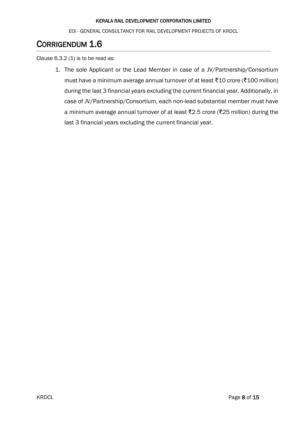EOI - GENERAL CONSULTANCY FOR RAIL DEVELOPMENT PROJECTS OF KRDCL

## <span id="page-7-0"></span>CORRIGENDUM 1.6

Clause  $6.3.2$  (1) is to be read as:

1. The sole Applicant or the Lead Member in case of a JV/Partnership/Consortium must have a minimum average annual turnover of at least ₹10 crore (₹100 million) during the last 3 financial years excluding the current financial year. Additionally, in case of JV/Partnership/Consortium, each non-lead substantial member must have a minimum average annual turnover of at least ₹2.5 crore (₹25 million) during the last 3 financial years excluding the current financial year.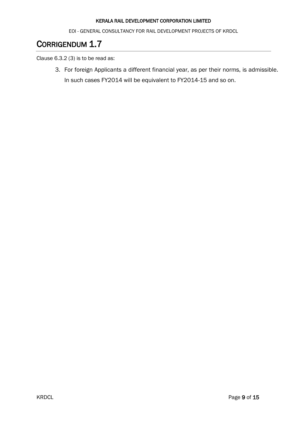EOI - GENERAL CONSULTANCY FOR RAIL DEVELOPMENT PROJECTS OF KRDCL

## <span id="page-8-0"></span>CORRIGENDUM 1.7

Clause 6.3.2 (3) is to be read as:

3. For foreign Applicants a different financial year, as per their norms, is admissible. In such cases FY2014 will be equivalent to FY2014-15 and so on.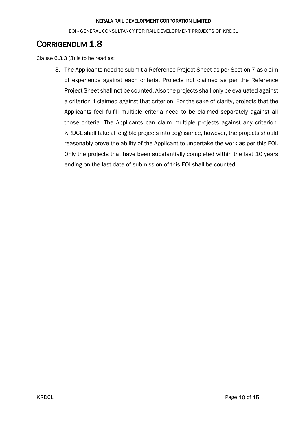EOI - GENERAL CONSULTANCY FOR RAIL DEVELOPMENT PROJECTS OF KRDCL

## <span id="page-9-0"></span>CORRIGENDUM 1.8

Clause 6.3.3 (3) is to be read as:

3. The Applicants need to submit a Reference Project Sheet as per Section 7 as claim of experience against each criteria. Projects not claimed as per the Reference Project Sheet shall not be counted. Also the projects shall only be evaluated against a criterion if claimed against that criterion. For the sake of clarity, projects that the Applicants feel fulfill multiple criteria need to be claimed separately against all those criteria. The Applicants can claim multiple projects against any criterion. KRDCL shall take all eligible projects into cognisance, however, the projects should reasonably prove the ability of the Applicant to undertake the work as per this EOI. Only the projects that have been substantially completed within the last 10 years ending on the last date of submission of this EOI shall be counted.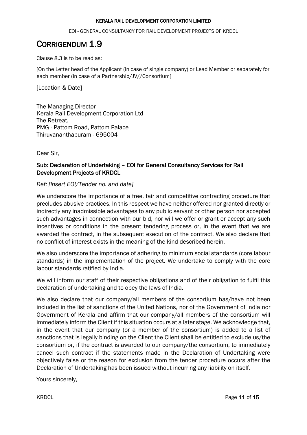EOI - GENERAL CONSULTANCY FOR RAIL DEVELOPMENT PROJECTS OF KRDCL

## <span id="page-10-0"></span>CORRIGENDUM 1.9

Clause 8.3 is to be read as:

[On the Letter head of the Applicant (in case of single company) or Lead Member or separately for each member (in case of a Partnership/JV//Consortium]

[Location & Date]

The Managing Director Kerala Rail Development Corporation Ltd The Retreat, PMG - Pattom Road, Pattom Palace Thiruvananthapuram - 695004

Dear Sir,

#### Sub: Declaration of Undertaking – EOI for General Consultancy Services for Rail Development Projects of KRDCL

*Ref: [insert EOI/Tender no. and date]*

We underscore the importance of a free, fair and competitive contracting procedure that precludes abusive practices. In this respect we have neither offered nor granted directly or indirectly any inadmissible advantages to any public servant or other person nor accepted such advantages in connection with our bid, nor will we offer or grant or accept any such incentives or conditions in the present tendering process or, in the event that we are awarded the contract, in the subsequent execution of the contract. We also declare that no conflict of interest exists in the meaning of the kind described herein.

We also underscore the importance of adhering to minimum social standards (core labour standards) in the implementation of the project. We undertake to comply with the core labour standards ratified by India.

We will inform our staff of their respective obligations and of their obligation to fulfil this declaration of undertaking and to obey the laws of India.

We also declare that our company/all members of the consortium has/have not been included in the list of sanctions of the United Nations, nor of the Government of India nor Government of Kerala and affirm that our company/all members of the consortium will immediately inform the Client if this situation occurs at a later stage. We acknowledge that, in the event that our company (or a member of the consortium) is added to a list of sanctions that is legally binding on the Client the Client shall be entitled to exclude us/the consortium or, if the contract is awarded to our company/the consortium, to immediately cancel such contract if the statements made in the Declaration of Undertaking were objectively false or the reason for exclusion from the tender procedure occurs after the Declaration of Undertaking has been issued without incurring any liability on itself.

Yours sincerely,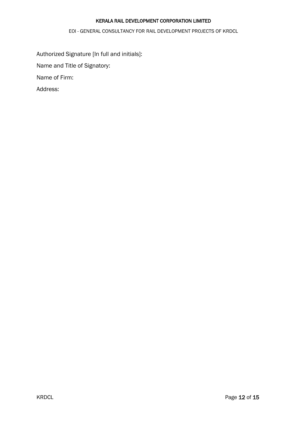EOI - GENERAL CONSULTANCY FOR RAIL DEVELOPMENT PROJECTS OF KRDCL

Authorized Signature [In full and initials]:

Name and Title of Signatory:

Name of Firm:

Address: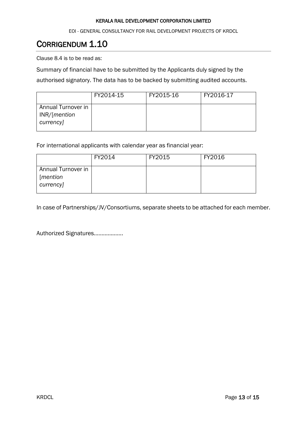EOI - GENERAL CONSULTANCY FOR RAIL DEVELOPMENT PROJECTS OF KRDCL

## <span id="page-12-0"></span>CORRIGENDUM 1.10

Clause 8.4 is to be read as:

Summary of financial have to be submitted by the Applicants duly signed by the authorised signatory. The data has to be backed by submitting audited accounts.

|                                                             | FY2014-15 | FY2015-16 | FY2016-17 |
|-------------------------------------------------------------|-----------|-----------|-----------|
| Annual Turnover in<br>INR/[ <i>mentioned</i> ]<br>currency] |           |           |           |

For international applicants with calendar year as financial year:

|                                              | FY2014 | FY2015 | FY2016 |
|----------------------------------------------|--------|--------|--------|
| Annual Turnover in<br>[mention]<br>currency] |        |        |        |

In case of Partnerships/JV/Consortiums, separate sheets to be attached for each member.

Authorized Signatures……………….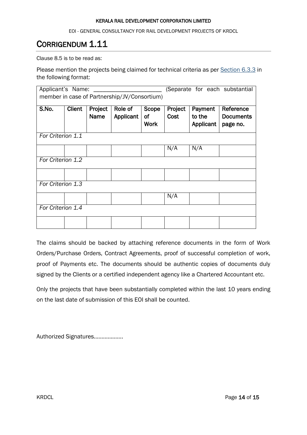EOI - GENERAL CONSULTANCY FOR RAIL DEVELOPMENT PROJECTS OF KRDCL

## <span id="page-13-0"></span>CORRIGENDUM 1.11

Clause 8.5 is to be read as:

Please mention the projects being claimed for technical criteria as per Section 6.3.3 in the following format:

| Applicant's Name:<br>member in case of Partnership/JV/Consortium) |                   |                 |                      | (Separate for each substantial |                 |                                |                                           |
|-------------------------------------------------------------------|-------------------|-----------------|----------------------|--------------------------------|-----------------|--------------------------------|-------------------------------------------|
| S.No.                                                             | <b>Client</b>     | Project<br>Name | Role of<br>Applicant | Scope<br>οf<br><b>Work</b>     | Project<br>Cost | Payment<br>to the<br>Applicant | Reference<br><b>Documents</b><br>page no. |
| For Criterion 1.1                                                 |                   |                 |                      |                                |                 |                                |                                           |
|                                                                   |                   |                 |                      |                                | N/A             | N/A                            |                                           |
|                                                                   | For Criterion 1.2 |                 |                      |                                |                 |                                |                                           |
| For Criterion 1.3                                                 |                   |                 |                      |                                |                 |                                |                                           |
|                                                                   |                   |                 |                      |                                | N/A             |                                |                                           |
| For Criterion 1.4                                                 |                   |                 |                      |                                |                 |                                |                                           |
|                                                                   |                   |                 |                      |                                |                 |                                |                                           |

The claims should be backed by attaching reference documents in the form of Work Orders/Purchase Orders, Contract Agreements, proof of successful completion of work, proof of Payments etc. The documents should be authentic copies of documents duly signed by the Clients or a certified independent agency like a Chartered Accountant etc.

Only the projects that have been substantially completed within the last 10 years ending on the last date of submission of this EOI shall be counted.

Authorized Signatures……………….